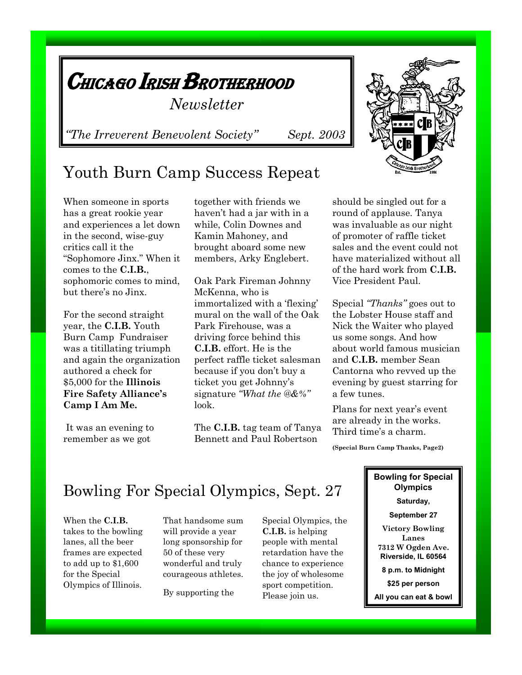

Youth Burn Camp Success Repeat

When someone in sports has a great rookie year and experiences a let down in the second, wise-guy critics call it the "Sophomore Jinx." When it comes to the **C.I.B.**, sophomoric comes to mind, but there"s no Jinx.

For the second straight year, the **C.I.B.** Youth Burn Camp Fundraiser was a titillating triumph and again the organization authored a check for \$5,000 for the **Illinois Fire Safety Alliance's Camp I Am Me.**

It was an evening to remember as we got

together with friends we haven"t had a jar with in a while, Colin Downes and Kamin Mahoney, and brought aboard some new members, Arky Englebert.

Oak Park Fireman Johnny McKenna, who is immortalized with a 'flexing' mural on the wall of the Oak Park Firehouse, was a driving force behind this **C.I.B.** effort. He is the perfect raffle ticket salesman because if you don"t buy a ticket you get Johnny"s signature *"What the @&%"*  look.

The **C.I.B.** tag team of Tanya Bennett and Paul Robertson

should be singled out for a round of applause. Tanya was invaluable as our night of promoter of raffle ticket sales and the event could not have materialized without all of the hard work from **C.I.B.**  Vice President Paul.

Special *"Thanks"* goes out to the Lobster House staff and Nick the Waiter who played us some songs. And how about world famous musician and **C.I.B.** member Sean Cantorna who revved up the evening by guest starring for a few tunes.

Plans for next year's event are already in the works. Third time's a charm.

**(Special Burn Camp Thanks, Page2)**

# Bowling For Special Olympics, Sept. 27

When the **C.I.B.**  takes to the bowling lanes, all the beer frames are expected to add up to \$1,600 for the Special Olympics of Illinois.

That handsome sum will provide a year long sponsorship for 50 of these very wonderful and truly courageous athletes.

By supporting the

Special Olympics, the **C.I.B.** is helping people with mental retardation have the chance to experience the joy of wholesome sport competition. Please join us.

**Bowling for Special Olympics Saturday, September 27 Victory Bowling Lanes 7312 W Ogden Ave. Riverside, IL 60564** 

**8 p.m. to Midnight**

**\$25 per person**

**All you can eat & bowl**